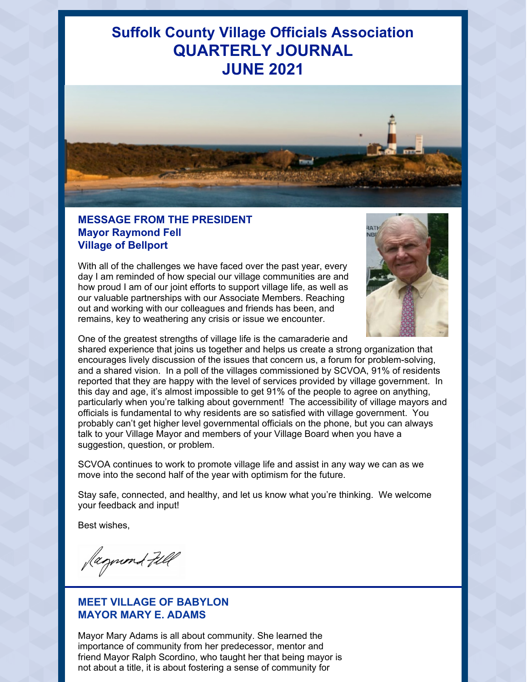# **Suffolk County Village Officials Association QUARTERLY JOURNAL JUNE 2021**



#### **MESSAGE FROM THE PRESIDENT Mayor Raymond Fell Village of Bellport**

With all of the challenges we have faced over the past year, every day I am reminded of how special our village communities are and how proud I am of our joint efforts to support village life, as well as our valuable partnerships with our Associate Members. Reaching out and working with our colleagues and friends has been, and remains, key to weathering any crisis or issue we encounter.



One of the greatest strengths of village life is the camaraderie and

shared experience that joins us together and helps us create a strong organization that encourages lively discussion of the issues that concern us, a forum for problem-solving, and a shared vision. In a poll of the villages commissioned by SCVOA, 91% of residents reported that they are happy with the level of services provided by village government. In this day and age, it's almost impossible to get 91% of the people to agree on anything, particularly when you're talking about government! The accessibility of village mayors and officials is fundamental to why residents are so satisfied with village government. You probably can't get higher level governmental officials on the phone, but you can always talk to your Village Mayor and members of your Village Board when you have a suggestion, question, or problem.

SCVOA continues to work to promote village life and assist in any way we can as we move into the second half of the year with optimism for the future.

Stay safe, connected, and healthy, and let us know what you're thinking. We welcome your feedback and input!

Best wishes,

Jagund Fill

#### **MEET VILLAGE OF BABYLON MAYOR MARY E. ADAMS**

Mayor Mary Adams is all about community. She learned the importance of community from her predecessor, mentor and friend Mayor Ralph Scordino, who taught her that being mayor is not about a title, it is about fostering a sense of community for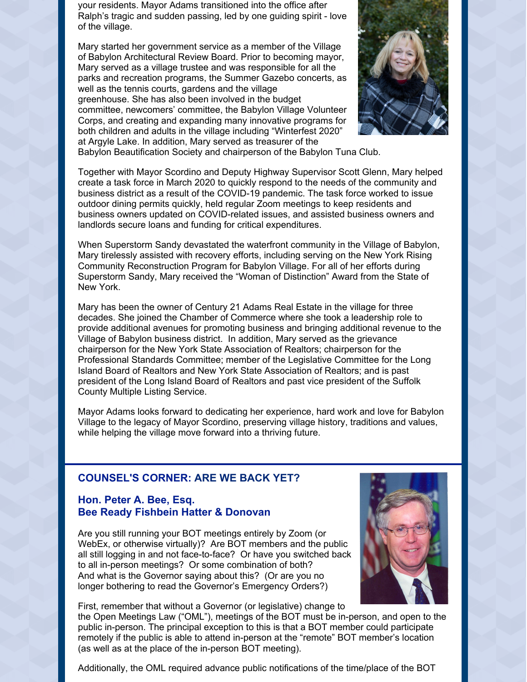your residents. Mayor Adams transitioned into the office after Ralph's tragic and sudden passing, led by one guiding spirit - love of the village.

Mary started her government service as a member of the Village of Babylon Architectural Review Board. Prior to becoming mayor, Mary served as a village trustee and was responsible for all the parks and recreation programs, the Summer Gazebo concerts, as well as the tennis courts, gardens and the village greenhouse. She has also been involved in the budget committee, newcomers' committee, the Babylon Village Volunteer Corps, and creating and expanding many innovative programs for both children and adults in the village including "Winterfest 2020" at Argyle Lake. In addition, Mary served as treasurer of the



Babylon Beautification Society and chairperson of the Babylon Tuna Club.

Together with Mayor Scordino and Deputy Highway Supervisor Scott Glenn, Mary helped create a task force in March 2020 to quickly respond to the needs of the community and business district as a result of the COVID-19 pandemic. The task force worked to issue outdoor dining permits quickly, held regular Zoom meetings to keep residents and business owners updated on COVID-related issues, and assisted business owners and landlords secure loans and funding for critical expenditures.

When Superstorm Sandy devastated the waterfront community in the Village of Babylon, Mary tirelessly assisted with recovery efforts, including serving on the New York Rising Community Reconstruction Program for Babylon Village. For all of her efforts during Superstorm Sandy, Mary received the "Woman of Distinction" Award from the State of New York.

Mary has been the owner of Century 21 Adams Real Estate in the village for three decades. She joined the Chamber of Commerce where she took a leadership role to provide additional avenues for promoting business and bringing additional revenue to the Village of Babylon business district. In addition, Mary served as the grievance chairperson for the New York State Association of Realtors; chairperson for the Professional Standards Committee; member of the Legislative Committee for the Long Island Board of Realtors and New York State Association of Realtors; and is past president of the Long Island Board of Realtors and past vice president of the Suffolk County Multiple Listing Service.

Mayor Adams looks forward to dedicating her experience, hard work and love for Babylon Village to the legacy of Mayor Scordino, preserving village history, traditions and values, while helping the village move forward into a thriving future.

#### **COUNSEL'S CORNER: ARE WE BACK YET?**

#### **Hon. Peter A. Bee, Esq. Bee Ready Fishbein Hatter & Donovan**

Are you still running your BOT meetings entirely by Zoom (or WebEx, or otherwise virtually)? Are BOT members and the public all still logging in and not face-to-face? Or have you switched back to all in-person meetings? Or some combination of both? And what is the Governor saying about this? (Or are you no longer bothering to read the Governor's Emergency Orders?)



the Open Meetings Law ("OML"), meetings of the BOT must be in-person, and open to the public in-person. The principal exception to this is that a BOT member could participate remotely if the public is able to attend in-person at the "remote" BOT member's location (as well as at the place of the in-person BOT meeting).



Additionally, the OML required advance public notifications of the time/place of the BOT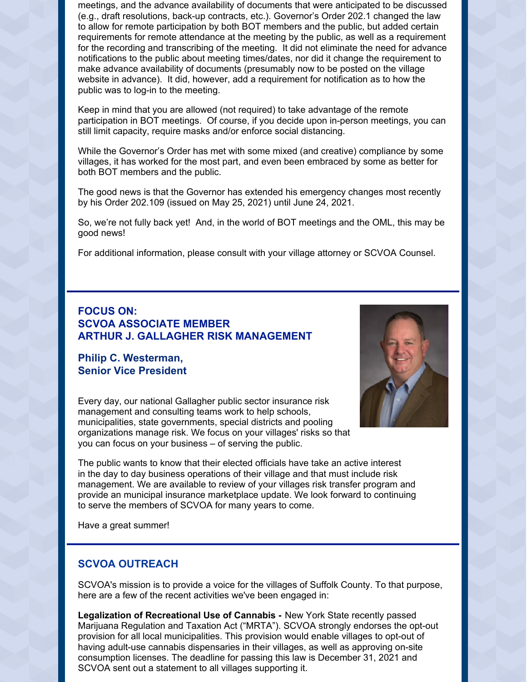meetings, and the advance availability of documents that were anticipated to be discussed (e.g., draft resolutions, back-up contracts, etc.). Governor's Order 202.1 changed the law to allow for remote participation by both BOT members and the public, but added certain requirements for remote attendance at the meeting by the public, as well as a requirement for the recording and transcribing of the meeting. It did not eliminate the need for advance notifications to the public about meeting times/dates, nor did it change the requirement to make advance availability of documents (presumably now to be posted on the village website in advance). It did, however, add a requirement for notification as to how the public was to log-in to the meeting.

Keep in mind that you are allowed (not required) to take advantage of the remote participation in BOT meetings. Of course, if you decide upon in-person meetings, you can still limit capacity, require masks and/or enforce social distancing.

While the Governor's Order has met with some mixed (and creative) compliance by some villages, it has worked for the most part, and even been embraced by some as better for both BOT members and the public.

The good news is that the Governor has extended his emergency changes most recently by his Order 202.109 (issued on May 25, 2021) until June 24, 2021.

So, we're not fully back yet! And, in the world of BOT meetings and the OML, this may be good news!

For additional information, please consult with your village attorney or SCVOA Counsel.

#### **FOCUS ON: SCVOA ASSOCIATE MEMBER ARTHUR J. GALLAGHER RISK MANAGEMENT**

#### **Philip C. Westerman, Senior Vice President**

Every day, our national Gallagher public sector insurance risk management and consulting teams work to help schools, municipalities, state governments, special districts and pooling organizations manage risk. We focus on your villages' risks so that you can focus on your business – of serving the public.



The public wants to know that their elected officials have take an active interest in the day to day business operations of their village and that must include risk management. We are available to review of your villages risk transfer program and provide an municipal insurance marketplace update. We look forward to continuing to serve the members of SCVOA for many years to come.

Have a great summer!

#### **SCVOA OUTREACH**

SCVOA's mission is to provide a voice for the villages of Suffolk County. To that purpose, here are a few of the recent activities we've been engaged in:

**Legalization of Recreational Use of Cannabis -** New York State recently passed Marijuana Regulation and Taxation Act ("MRTA"). SCVOA strongly endorses the opt-out provision for all local municipalities. This provision would enable villages to opt-out of having adult-use cannabis dispensaries in their villages, as well as approving on-site consumption licenses. The deadline for passing this law is December 31, 2021 and SCVOA sent out a statement to all villages supporting it.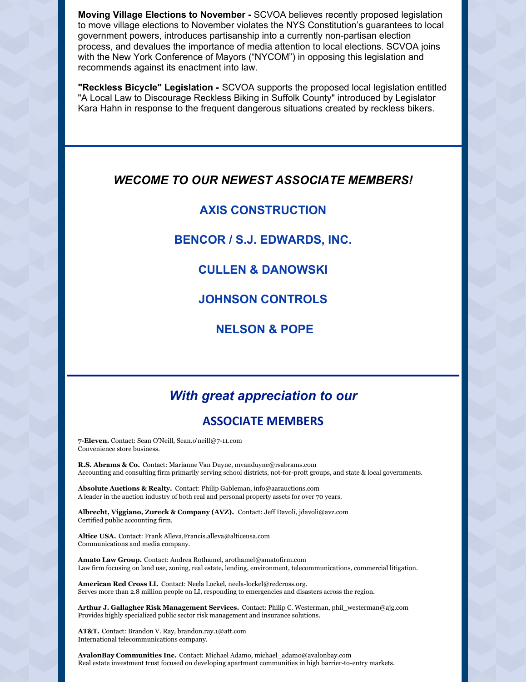**Moving Village Elections to November -** SCVOA believes recently proposed legislation to move village elections to November violates the NYS Constitution's guarantees to local government powers, introduces partisanship into a currently non-partisan election process, and devalues the importance of media attention to local elections. SCVOA joins with the New York Conference of Mayors ("NYCOM") in opposing this legislation and recommends against its enactment into law.

**"Reckless Bicycle" Legislation -** SCVOA supports the proposed local legislation entitled "A Local Law to Discourage Reckless Biking in Suffolk County" introduced by Legislator Kara Hahn in response to the frequent dangerous situations created by reckless bikers.

#### *WECOME TO OUR NEWEST ASSOCIATE MEMBERS!*

#### **AXIS CONSTRUCTION**

#### **BENCOR / S.J. EDWARDS, INC.**

### **CULLEN & DANOWSKI**

**JOHNSON CONTROLS**

**NELSON & POPE**

## *With great appreciation to our*

#### **ASSOCIATE MEMBERS**

**7-Eleven.** Contact: Sean O'Neill, Sean.o'neill@7-11.com Convenience store business.

**R.S. Abrams & Co.** Contact: Marianne Van Duyne, mvanduyne@rsabrams.com Accounting and consulting firm primarily serving school districts, not-for-proft groups, and state & local governments.

**Absolute Auctions & Realty.** Contact: Philip Gableman, info@aarauctions.com A leader in the auction industry of both real and personal property assets for over 70 years.

**Albrecht, Viggiano, Zureck & Company (AVZ).** Contact: Jeff Davoli, jdavoli@avz.com Certified public accounting firm.

**Altice USA.** Contact: Frank Alleva,Francis.alleva@alticeusa.com Communications and media company.

**Amato Law Group.** Contact: Andrea Rothamel, arothamel@amatofirm.com Law firm focusing on land use, zoning, real estate, lending, environment, telecommunications, commercial litigation.

**American Red Cross LI.** Contact: Neela Lockel, neela-lockel@redcross.org. Serves more than 2.8 million people on LI, responding to emergencies and disasters across the region.

**Arthur J. Gallagher Risk Management Services.** Contact: Philip C. Westerman, phil\_westerman@ajg.com Provides highly specialized public sector risk management and insurance solutions.

**AT&T.** Contact: Brandon V. Ray, brandon.ray.1@att.com International telecommunications company.

**AvalonBay Communities Inc.** Contact: Michael Adamo, michael\_adamo@avalonbay.com Real estate investment trust focused on developing apartment communities in high barrier-to-entry markets.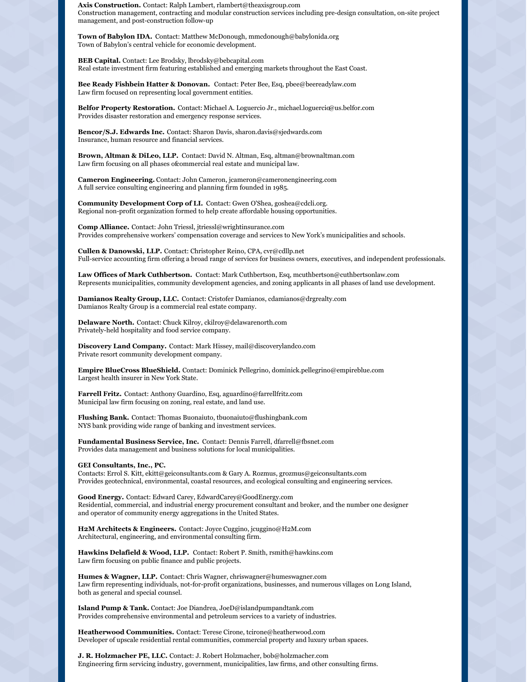**Axis Construction.** Contact: Ralph Lambert, rlambert@theaxisgroup.com Construction management, contracting and modular construction services including pre-design consultation, on-site project management, and post-construction follow-up

**Town of Babylon IDA.** Contact: Matthew McDonough, mmcdonough@babylonida.org Town of Babylon's central vehicle for economic development.

**BEB Capital.** Contact: Lee Brodsky, lbrodsky@bebcapital.com Real estate investment firm featuring established and emerging markets throughout the East Coast.

**Bee Ready Fishbein Hatter & Donovan.** Contact: Peter Bee, Esq, pbee@beereadylaw.com Law firm focused on representing local government entities.

**Belfor Property Restoration.** Contact: Michael A. Loguercio Jr., michael.loguercio@us.belfor.com Provides disaster restoration and emergency response services.

**Bencor/S.J. Edwards Inc.** Contact: Sharon Davis, sharon.davis@sjedwards.com Insurance, human resource and financial services.

**Brown, Altman & DiLeo, LLP.** Contact: David N. Altman, Esq, altman@brownaltman.com Law firm focusing on all phases ofcommercial real estate and municipal law.

**Cameron Engineering.** Contact: John Cameron, jcameron@cameronengineering.com A full service consulting engineering and planning firm founded in 1985.

**Community Development Corp of LI.** Contact: Gwen O'Shea, goshea@cdcli.org. Regional non-profit organization formed to help create affordable housing opportunities.

**Comp Alliance.** Contact: John Triessl, jtriessl@wrightinsurance.com Provides comprehensive workers' compensation coverage and services to New York's municipalities and schools.

**Cullen & Danowski, LLP.** Contact: Christopher Reino, CPA, cvr@cdllp.net Full-service accounting firm offering a broad range of services for business owners, executives, and independent professionals.

**Law Offices of Mark Cuthbertson.** Contact: Mark Cuthbertson, Esq, mcuthbertson@cuthbertsonlaw.com Represents municipalities, community development agencies, and zoning applicants in all phases of land use development.

**Damianos Realty Group, LLC.** Contact: Cristofer Damianos, cdamianos@drgrealty.com Damianos Realty Group is a commercial real estate company.

**Delaware North.** Contact: Chuck Kilroy, ckilroy@delawarenorth.com Privately-held hospitality and food service company.

**Discovery Land Company.** Contact: Mark Hissey, mail@discoverylandco.com Private resort community development company.

**Empire BlueCross BlueShield.** Contact: Dominick Pellegrino, dominick.pellegrino@empireblue.com Largest health insurer in New York State.

**Farrell Fritz.** Contact: Anthony Guardino, Esq, aguardino@farrellfritz.com Municipal law firm focusing on zoning, real estate, and land use.

**Flushing Bank.** Contact: Thomas Buonaiuto, tbuonaiuto@flushingbank.com NYS bank providing wide range of banking and investment services.

**Fundamental Business Service, Inc.** Contact: Dennis Farrell, dfarrell@fbsnet.com Provides data management and business solutions for local municipalities.

**GEI Consultants, Inc., PC.**

Contacts: Errol S. Kitt, ekitt@geiconsultants.com & Gary A. Rozmus, grozmus@geiconsultants.com Provides geotechnical, environmental, coastal resources, and ecological consulting and engineering services.

**Good Energy.** Contact: Edward Carey, EdwardCarey@GoodEnergy.com Residential, commercial, and industrial energy procurement consultant and broker, and the number one designer and operator of community energy aggregations in the United States.

**H2M Architects & Engineers.** Contact: Joyce Cuggino, jcuggino@H2M.com Architectural, engineering, and environmental consulting firm.

**Hawkins Delafield & Wood, LLP.** Contact: Robert P. Smith, rsmith@hawkins.com Law firm focusing on public finance and public projects.

**Humes & Wagner, LLP.** Contact: Chris Wagner, chriswagner@humeswagner.com Law firm representing individuals, not-for-profit organizations, businesses, and numerous villages on Long Island, both as general and special counsel.

**Island Pump & Tank.** Contact: Joe Diandrea, JoeD@islandpumpandtank.com Provides comprehensive environmental and petroleum services to a variety of industries.

**Heatherwood Communities.** Contact: Terese Cirone, tcirone@heatherwood.com Developer of upscale residential rental communities, commercial property and luxury urban spaces.

**J. R. Holzmacher PE, LLC.** Contact: J. Robert Holzmacher, bob@holzmacher.com Engineering firm servicing industry, government, municipalities, law firms, and other consulting firms.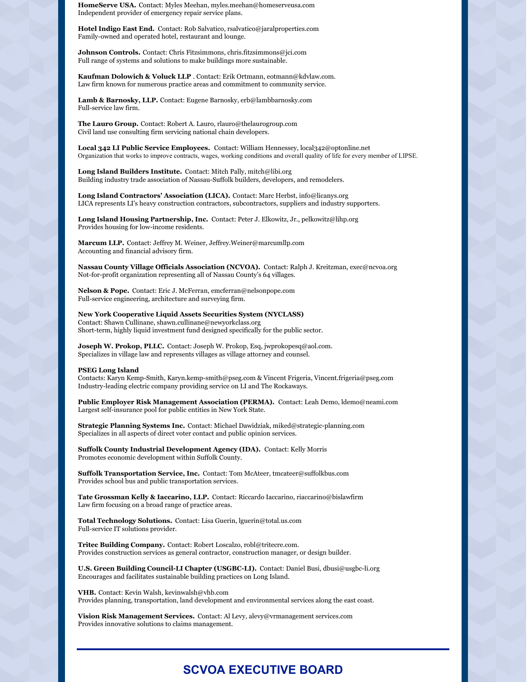**HomeServe USA.** Contact: Myles Meehan, myles.meehan@homeserveusa.com Independent provider of emergency repair service plans.

**Hotel Indigo East End.** Contact: Rob Salvatico, rsalvatico@jaralproperties.com Family-owned and operated hotel, restaurant and lounge.

**Johnson Controls.** Contact: Chris Fitzsimmons, chris.fitzsimmons@jci.com Full range of systems and solutions to make buildings more sustainable.

**Kaufman Dolowich & Voluck LLP** . Contact: Erik Ortmann, eotmann@kdvlaw.com. Law firm known for numerous practice areas and commitment to community service.

**Lamb & Barnosky, LLP.** Contact: Eugene Barnosky, erb@lambbarnosky.com Full-service law firm.

**The Lauro Group.** Contact: Robert A. Lauro, rlauro@thelaurogroup.com Civil land use consulting firm servicing national chain developers.

**Local 342 LI Public Service Employees.** Contact: William Hennessey, local342@optonline.net Organization that works to improve contracts, wages, working conditions and overall quality of life for every member of LIPSE.

**Long Island Builders Institute.** Contact: Mitch Pally, mitch@libi.org Building industry trade association of Nassau-Suffolk builders, developers, and remodelers.

**Long Island Contractors' Association (LICA).** Contact: Marc Herbst, info@licanys.org LICA represents LI's heavy construction contractors, subcontractors, suppliers and industry supporters.

**Long Island Housing Partnership, Inc.** Contact: Peter J. Elkowitz, Jr., pelkowitz@lihp.org Provides housing for low-income residents.

**Marcum LLP.** Contact: Jeffrey M. Weiner, Jeffrey.Weiner@marcumllp.com Accounting and financial advisory firm.

**Nassau County Village Officials Association (NCVOA).** Contact: Ralph J. Kreitzman, exec@ncvoa.org Not-for-profit organization representing all of Nassau County's 64 villages.

**Nelson & Pope.** Contact: Eric J. McFerran, emcferran@nelsonpope.com Full-service engineering, architecture and surveying firm.

**New York Cooperative Liquid Assets Securities System (NYCLASS)** Contact: Shawn Cullinane, shawn.cullinane@newyorkclass.org Short-term, highly liquid investment fund designed specifically for the public sector.

**Joseph W. Prokop, PLLC.** Contact: Joseph W. Prokop, Esq, jwprokopesq@aol.com. Specializes in village law and represents villages as village attorney and counsel.

#### **PSEG Long Island**

Contacts: Karyn Kemp-Smith, Karyn.kemp-smith@pseg.com & Vincent Frigeria, Vincent.frigeria@pseg.com Industry-leading electric company providing service on LI and The Rockaways.

**Public Employer Risk Management Association (PERMA).** Contact: Leah Demo, ldemo@neami.com Largest self-insurance pool for public entities in New York State.

**Strategic Planning Systems Inc.** Contact: Michael Dawidziak, miked@strategic-planning.com Specializes in all aspects of direct voter contact and public opinion services.

**Suffolk County Industrial Development Agency (IDA).** Contact: Kelly Morris Promotes economic development within Suffolk County.

**Suffolk Transportation Service, Inc.** Contact: Tom McAteer, tmcateer@suffolkbus.com Provides school bus and public transportation services.

**Tate Grossman Kelly & Iaccarino, LLP.** Contact: Riccardo Iaccarino, riaccarino@bislawfirm Law firm focusing on a broad range of practice areas.

**Total Technology Solutions.** Contact: Lisa Guerin, lguerin@total.us.com Full-service IT solutions provider.

**Tritec Building Company.** Contact: Robert Loscalzo, robl@tritecre.com. Provides construction services as general contractor, construction manager, or design builder.

**U.S. Green Building Council-LI Chapter (USGBC-LI).** Contact: Daniel Busi, dbusi@usgbc-li.org Encourages and facilitates sustainable building practices on Long Island.

**VHB.** Contact: Kevin Walsh, kevinwalsh@vhb.com Provides planning, transportation, land development and environmental services along the east coast.

**Vision Risk Management Services.** Contact: Al Levy, alevy@vrmanagement services.com Provides innovative solutions to claims management.

### **SCVOA EXECUTIVE BOARD**